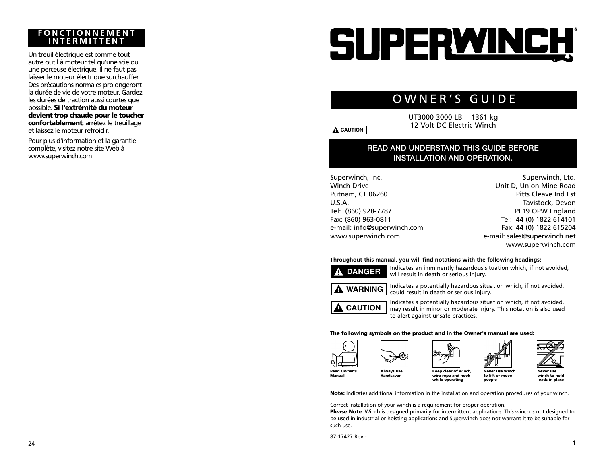## **FONCTIONNEMENT INTERMITTENT**

Un treuil électrique est comme tout autre outil à moteur tel qu'une scie ou une perceuse électrique. Il ne faut pas laisser le moteur électrique surchauffer. Des précautions normales prolongeront la durée de vie de votre moteur. Gardez les durées de traction aussi courtes que possible. **Si l'extrémité du moteur devient trop chaude pour le toucher confortablement**, arrêtez le treuillage et laissez le moteur refroidir.

Pour plus d'information et la garantie complète, visitez notre site Web à www.superwinch.com

# SUPERWINCH

# OWNER'S GUIDE

UT3000 3000 LB 1361 kg 12 Volt DC Electric Winch

## **READ AND UNDERSTAND THIS GUIDE BEFORE INSTALLATION AND OPERATION.**

Superwinch, Inc. Winch Drive Putnam, CT 06260 U.S.A. Tel: (860) 928-7787 Fax: (860) 963-0811 e-mail: info@superwinch.com www.superwinch.com

Superwinch, Ltd. Unit D, Union Mine Road Pitts Cleave Ind Est Tavistock, Devon PL19 OPW England Tel: 44 (0) 1822 614101 Fax: 44 (0) 1822 615204 e-mail: sales@superwinch.net www.superwinch.com

#### **Throughout this manual, you will find notations with the following headings:**

Indicates an imminently hazardous situation which, if not avoided, **! DANGER**

will result in death or serious injury. Indicates a potentially hazardous situation which, if not avoided, could result in death or serious injury.



**! CAUTION**

Indicates a potentially hazardous situation which, if not avoided, may result in minor or moderate injury. This notation is also used to alert against unsafe practices.

#### **The following symbols on the product and in the Owner's manual are used:**









**Never use winch to lift or move people**

**Never use winch to hold loads in place**

**Note:** Indicates additional information in the installation and operation procedures of your winch. **while operating**

**wire rope and hook**

Correct installation of your winch is a requirement for proper operation.

**Please Note**: Winch is designed primarily for intermittent applications. This winch is not designed to be used in industrial or hoisting applications and Superwinch does not warrant it to be suitable for such use.

87-17427 Rev -



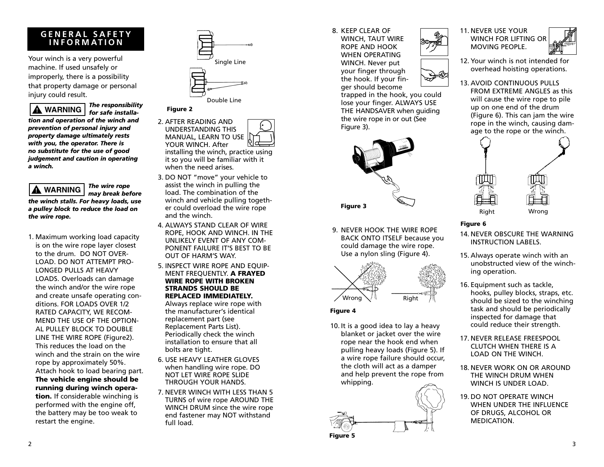## **GENERAL SAFETY INFORMATION**

Your winch is a very powerful machine. If used unsafely or improperly, there is a possibility that property damage or personal injury could result.

*The responsibility for safe installation and operation of the winch and prevention of personal injury and property damage ultimately rests with you, the operator. There is no substitute for the use of good judgement and caution in operating a winch.* **! WARNING**

*The wire rope may break before the winch stalls. For heavy loads, use a pulley block to reduce the load on the wire rope.* **! WARNING**

1. Maximum working load capacity is on the wire rope layer closest to the drum. DO NOT OVER-LOAD. DO NOT ATTEMPT PRO-LONGED PULLS AT HEAVY LOADS. Overloads can damage the winch and/or the wire rope and create unsafe operating conditions. FOR LOADS OVER 1/2 RATED CAPACITY, WE RECOM-MEND THE USE OF THE OPTION-AL PULLEY BLOCK TO DOUBLE LINE THE WIRE ROPE (Figure2). This reduces the load on the winch and the strain on the wire rope by approximately 50%. Attach hook to load bearing part. **The vehicle engine should be running during winch operation.** If considerable winching is performed with the engine off, the battery may be too weak to restart the engine.



Double Line

#### **Figure 2**



installing the winch, practice using it so you will be familiar with it when the need arises.

- 3. DO NOT "move" your vehicle to assist the winch in pulling the load. The combination of the winch and vehicle pulling together could overload the wire rope and the winch.
- 4. ALWAYS STAND CLEAR OF WIRE ROPE, HOOK AND WINCH. IN THE UNLIKELY EVENT OF ANY COM-PONENT FAILURE IT'S BEST TO BE OUT OF HARM'S WAY.
- 5. INSPECT WIRE ROPE AND EQUIP-MENT FREQUENTLY. **A FRAYED WIRE ROPE WITH BROKEN STRANDS SHOULD BE REPLACED IMMEDIATELY.**

Always replace wire rope with the manufacturer's identical replacement part (see Replacement Parts List). Periodically check the winch installation to ensure that all bolts are tight.

- 6. USE HEAVY LEATHER GLOVES when handling wire rope. DO NOT LET WIRE ROPE SLIDE THROUGH YOUR HANDS.
- 7. NEVER WINCH WITH LESS THAN 5 TURNS of wire rope AROUND THE WINCH DRUM since the wire rope end fastener may NOT withstand full load.

### 8. KEEP CLEAR OF

WINCH, TAUT WIRE ROPE AND HOOK WHEN OPERATING WINCH. Never put your finger through the hook. If your finger should become

trapped in the hook, you could lose your finger. ALWAYS USE THE HANDSAVER when guiding the wire rope in or out (See Figure 3).



9. NEVER HOOK THE WIRE ROPE BACK ONTO ITSELF because you could damage the wire rope. Use a nylon sling (Figure 4).



#### **Figure 4**

10. It is a good idea to lay a heavy blanket or jacket over the wire rope near the hook end when pulling heavy loads (Figure 5). If a wire rope failure should occur, the cloth will act as a damper and help prevent the rope from whipping.







- 12. Your winch is not intended for overhead hoisting operations.
- 13. AVOID CONTINUOUS PULLS FROM EXTREME ANGLES as this will cause the wire rope to pile up on one end of the drum (Figure 6). This can jam the wire rope in the winch, causing damage to the rope or the winch.



#### **Figure 6**

- 14. NEVER OBSCURE THE WARNING INSTRUCTION LABELS.
- 15. Always operate winch with an unobstructed view of the winching operation.
- 16. Equipment such as tackle, hooks, pulley blocks, straps, etc. should be sized to the winching task and should be periodically inspected for damage that could reduce their strength.
- 17. NEVER RELEASE FREESPOOL CLUTCH WHEN THERE IS A LOAD ON THE WINCH.
- 18. NEVER WORK ON OR AROUND THE WINCH DRUM WHEN WINCH IS UNDER LOAD.
- 19. DO NOT OPERATE WINCH WHEN UNDER THE INFLUENCE OF DRUGS, ALCOHOL OR MEDICATION.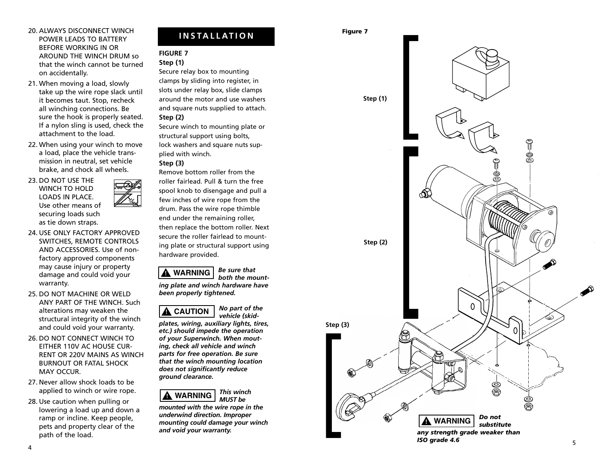#### 20. ALWAYS DISCONNECT WINCH POWER LEADS TO BATTERY BEFORE WORKING IN OR AROUND THE WINCH DRUM so that the winch cannot be turned on accidentally.

- 21. When moving a load, slowly take up the wire rope slack until it becomes taut. Stop, recheck all winching connections. Be sure the hook is properly seated. If a nylon sling is used, check the attachment to the load.
- 22. When using your winch to move a load, place the vehicle transmission in neutral, set vehicle brake, and chock all wheels.
- 23. DO NOT USE THE WINCH TO HOLD LOADS IN PLACE. Use other means of securing loads such as tie down straps.
- 24. USE ONLY FACTORY APPROVED SWITCHES, REMOTE CONTROLS AND ACCESSORIES. Use of nonfactory approved components may cause injury or property damage and could void your warranty.
- 25. DO NOT MACHINE OR WELD ANY PART OF THE WINCH. Such alterations may weaken the structural integrity of the winch and could void your warranty.
- 26. DO NOT CONNECT WINCH TO EITHER 110V AC HOUSE CUR-RENT OR 220V MAINS AS WINCH BURNOUT OR FATAL SHOCK MAY OCCUR.
- 27. Never allow shock loads to be applied to winch or wire rope.
- 28. Use caution when pulling or lowering a load up and down a ramp or incline. Keep people, pets and property clear of the path of the load.

## **INSTALLATION Figure 7**

#### **FIGURE 7 Step (1)**

Secure relay box to mounting clamps by sliding into register, in slots under relay box, slide clamps around the motor and use washers and square nuts supplied to attach. **Step (2)** 

Secure winch to mounting plate or structural support using bolts, lock washers and square nuts supplied with winch. **Step (3)**

### Remove bottom roller from the roller fairlead. Pull & turn the free spool knob to disengage and pull a few inches of wire rope from the drum. Pass the wire rope thimble end under the remaining roller, then replace the bottom roller. Next secure the roller fairlead to mounting plate or structural support using hardware provided.

*Be sure that* **! WARNING**

*both the mounting plate and winch hardware have been properly tightened.*



*No part of the vehicle (skid-*

*plates, wiring, auxiliary lights, tires, etc.) should impede the operation of your Superwinch. When mouting, check all vehicle and winch parts for free operation. Be sure that the winch mounting location does not significantly reduce ground clearance.*



*mounted with the wire rope in the underwind direction. Improper mounting could damage your winch and void your warranty.*



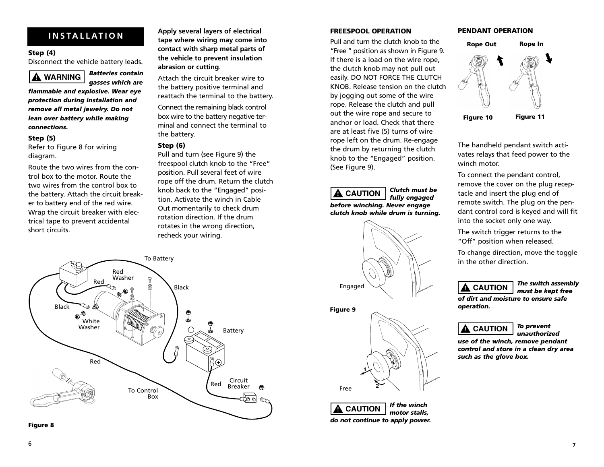#### **Step (4)**

Disconnect the vehicle battery leads.

#### *Batteries contain* **! WARNING**

*gasses which are*

*flammable and explosive. Wear eye protection during installation and remove all metal jewelry. Do not lean over battery while making connections.*

#### **Step (5)**

Refer to Figure 8 for wiring diagram.

Route the two wires from the control box to the motor. Route the two wires from the control box to the battery. Attach the circuit breaker to battery end of the red wire. Wrap the circuit breaker with electrical tape to prevent accidental short circuits.

**Apply several layers of electrical tape where wiring may come into contact with sharp metal parts of the vehicle to prevent insulation abrasion or cutting**. **INSTALLATION** *Apply several layers of electrical* **<b>FREESPOOL OPERATION** 

> Attach the circuit breaker wire to the battery positive terminal and reattach the terminal to the battery.

Connect the remaining black control box wire to the battery negative terminal and connect the terminal to the battery.

#### **Step (6)**

Pull and turn (see Figure 9) the freespool clutch knob to the "Free" position. Pull several feet of wire rope off the drum. Return the clutch knob back to the "Engaged" position. Activate the winch in Cable Out momentarily to check drum rotation direction. If the drum rotates in the wrong direction, recheck your wiring.



Pull and turn the clutch knob to the "Free " position as shown in Figure 9. If there is a load on the wire rope, the clutch knob may not pull out easily. DO NOT FORCE THE CLUTCH KNOB. Release tension on the clutch by jogging out some of the wire rope. Release the clutch and pull out the wire rope and secure to anchor or load. Check that there are at least five (5) turns of wire rope left on the drum. Re-engage the drum by returning the clutch knob to the "Engaged" position. (See Figure 9).

#### *Clutch must be fully engaged before winching. Never engage clutch knob while drum is turning.* **! CAUTION**



#### **Figure 9**





#### **PENDANT OPERATION**



The handheld pendant switch activates relays that feed power to the winch motor

To connect the pendant control, remove the cover on the plug receptacle and insert the plug end of remote switch. The plug on the pendant control cord is keyed and will fit into the socket only one way.

The switch trigger returns to the "Off" position when released.

To change direction, move the toggle in the other direction.

## **! CAUTION**

*The switch assembly must be kept free*

*of dirt and moisture to ensure safe operation.*



*To prevent unauthorized* 

*use of the winch, remove pendant control and store in a clean dry area such as the glove box.*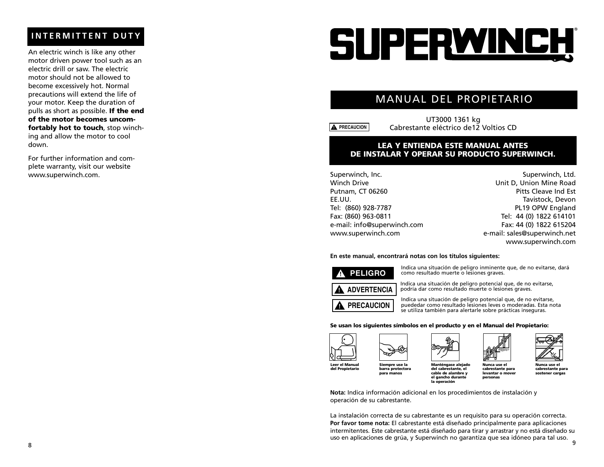## **INTERMITTENT DUTY**

An electric winch is like any other motor driven power tool such as an electric drill or saw. The electric motor should not be allowed to become excessively hot. Normal precautions will extend the life of your motor. Keep the duration of pulls as short as possible. **If the end of the motor becomes uncomfortably hot to touch**, stop winching and allow the motor to cool down.

For further information and complete warranty, visit our website www.superwinch.com.

# SUPERWINCH

## MANUAL DEL PROPIETARIO

**! PRECAUCION**

UT3000 1361 kg Cabrestante eléctrico de12 Voltios CD

#### **LEA Y ENTIENDA ESTE MANUAL ANTES DE INSTALAR Y OPERAR SU PRODUCTO SUPERWINCH.**

Superwinch, Inc. Winch Drive Putnam, CT 06260 EE.UU. Tel: (860) 928-7787 Fax: (860) 963-0811 e-mail: info@superwinch.com www.superwinch.com

Superwinch, Ltd. Unit D, Union Mine Road Pitts Cleave Ind Est Tavistock, Devon PL19 OPW England Tel: 44 (0) 1822 614101 Fax: 44 (0) 1822 615204 e-mail: sales@superwinch.net www.superwinch.com

#### **En este manual, encontrará notas con los títulos siguientes:**



Indica una situación de peligro inminente que, de no evitarse, dará como resultado muerte o lesiones graves.



**! PRECAUCION**

Indica una situación de peligro potencial que, de no evitarse, podría dar como resultado muerte o lesiones graves.

Indica una situación de peligro potencial que, de no evitarse, puededar como resultado lesiones leves o moderadas. Esta nota se utiliza también para alertarle sobre prácticas inseguras.

#### **Se usan los siguientes símbolos en el producto y en el Manual del Propietario:**





**cable de alambre y el gancho durante la operación**





**Nunca use el cabrestante para levantar o mover personas**

**Nunca use el cabrestante para sostener cargas**

**Nota:** Indica información adicional en los procedimientos de instalación y operación de su cabrestante.

La instalación correcta de su cabrestante es un requisito para su operación correcta. **Por favor tome nota:** El cabrestante está diseñado principalmente para aplicaciones intermitentes. Este cabrestante está diseñado para tirar y arrastrar y no está diseñado su uso en aplicaciones de grúa, y Superwinch no garantiza que sea idóneo para tal uso. <sup>9</sup> <sup>8</sup>





**Siempre use la barra protectora para manos**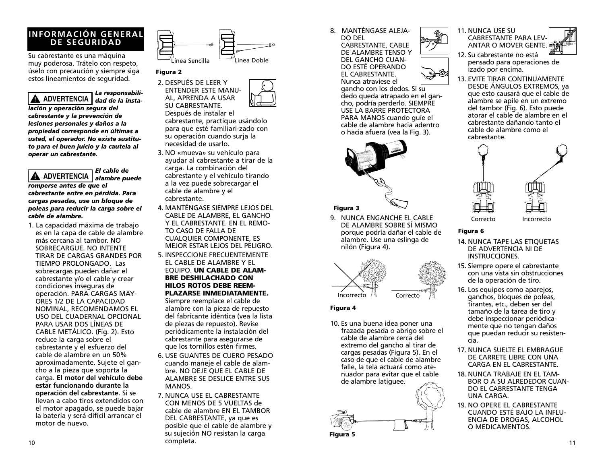## **INFORMACIÓN GENERAL DE SEGURIDAD**

Su cabrestante es una máquina muy poderosa. Trátelo con respeto, úselo con precaución y siempre siga estos lineamientos de seguridad.

*La responsabilidad de la insta-***! ADVERTENCIA** *lación y operación segura del cabrestante y la prevención de lesiones personales y daños a la propiedad corresponde en últimas a usted, el operador. No existe sustituto para el buen juicio y la cautela al operar un cabrestante.*

*El cable de alambre puede* **! ADVERTENCIA** *romperse antes de que el cabrestante entre en pérdida. Para cargas pesadas, use un bloque de poleas para reducir la carga sobre el cable de alambre.*

1. La capacidad máxima de trabajo es en la capa de cable de alambre más cercana al tambor. NO SOBRECARGUE. NO INTENTE TIRAR DE CARGAS GRANDES POR TIEMPO PROLONGADO. Las sobrecargas pueden dañar el cabrestante y/o el cable y crear condiciones inseguras de operación. PARA CARGAS MAY-ORES 1/2 DE LA CAPACIDAD NOMINAL, RECOMENDAMOS EL USO DEL CUADERNAL OPCIONAL PARA USAR DOS LÍNEAS DE CABLE METÁLICO. (Fig. 2). Esto reduce la carga sobre el cabrestante y el esfuerzo del cable de alambre en un 50% aproximadamente. Sujete el gancho a la pieza que soporta la carga. **El motor del vehículo debe estar funcionando durante la operación del cabrestante.** Si se llevan a cabo tiros extendidos con el motor apagado, se puede bajar la batería y será difícil arrancar el motor de nuevo.



#### **Figura 2**

2. DESPUÉS DE LEER Y ENTENDER ESTE MANU-AL, APRENDA A USAR SU CABRESTANTE.

Después de instalar el cabrestante, practique usándolo para que esté familiari-zado con su operación cuando surja la necesidad de usarlo.

- 3. NO «mueva» su vehículo para ayudar al cabrestante a tirar de la carga. La combinación del cabrestante y el vehículo tirando a la vez puede sobrecargar el cable de alambre y el cabrestante.
- 4. MANTÉNGASE SIEMPRE LEJOS DEL CABLE DE ALAMBRE, EL GANCHO Y EL CABRESTANTE. EN EL REMO-TO CASO DE FALLA DE CUALQUIER COMPONENTE, ES MEJOR ESTAR LEJOS DEL PELIGRO.
- 5. INSPECCIONE FRECUENTEMENTE EL CABLE DE ALAMBRE Y EL EQUIPO. **UN CABLE DE ALAM-BRE DESHILACHADO CON HILOS ROTOS DEBE REEM-PLAZARSE INMEDIATAMENTE.**

Siempre reemplace el cable de alambre con la pieza de repuesto del fabricante idéntica (vea la lista de piezas de repuesto). Revise periódicamente la instalación del cabrestante para asegurarse de que los tornillos estén firmes.

- 6. USE GUANTES DE CUERO PESADO cuando maneje el cable de alambre. NO DEJE QUE EL CABLE DE ALAMBRE SE DESLICE ENTRE SUS MANOS.
- 7. NUNCA USE EL CABRESTANTE CON MENOS DE 5 VUELTAS de cable de alambre EN EL TAMBOR DEL CABRESTANTE, ya que es posible que el cable de alambre y su sujeción NO resistan la carga 10 completa.

8. MANTÉNGASE ALEJA-DO DEL CABRESTANTE, CABLE DE ALAMBRE TENSO Y DEL GANCHO CUAN-DO ESTÉ OPERANDO EL CABRESTANTE.

> Nunca atraviese el gancho con los dedos. Si su dedo queda atrapado en el gancho, podría perderlo. SIEMPRE USE LA BARRE PROTECTORA PARA MANOS cuando guíe el cable de alambre hacia adentro o hacia afuera (vea la Fig. 3).



#### **Figura 3**

9. NUNCA ENGANCHE EL CABLE DE ALAMBRE SOBRE SÍ MISMO porque podría dañar el cable de alambre. Use una eslinga de nilón (Figura 4).



#### **Figura 4**

10. Es una buena idea poner una frazada pesada o abrigo sobre el cable de alambre cerca del extremo del gancho al tirar de cargas pesadas (Figura 5). En el caso de que el cable de alambre falle, la tela actuará como atenuador para evitar que el cable de alambre latiguee.







- 12. Su cabrestante no está pensado para operaciones de izado por encima.
- 13. EVITE TIRAR CONTINUAMENTE DESDE ÁNGULOS EXTREMOS, ya que esto causará que el cable de alambre se apile en un extremo del tambor (Fig. 6). Esto puede atorar el cable de alambre en el cabrestante dañando tanto el cable de alambre como el cabrestante.



## **Figura 6**

- 14. NUNCA TAPE LAS ETIQUETAS DE ADVERTENCIA NI DE INSTRUCCIONES.
- 15. Siempre opere el cabrestante con una vista sin obstrucciones de la operación de tiro.
- 16. Los equipos como aparejos, ganchos, bloques de poleas, tirantes, etc., deben ser del tamaño de la tarea de tiro y debe inspeccionar periódicamente que no tengan daños que puedan reducir su resistencia.
- 17. NUNCA SUELTE EL EMBRAGUE DE CARRETE LIBRE CON UNA CARGA EN EL CABRESTANTE.
- 18. NUNCA TRABAJE EN EL TAM-BOR O A SU ALREDEDOR CUAN-DO EL CABRESTANTE TENGA UNA CARGA.
- 19. NO OPERE EL CABRESTANTE CUANDO ESTÉ BAJO LA INFLU-ENCIA DE DROGAS, ALCOHOL O MEDICAMENTOS.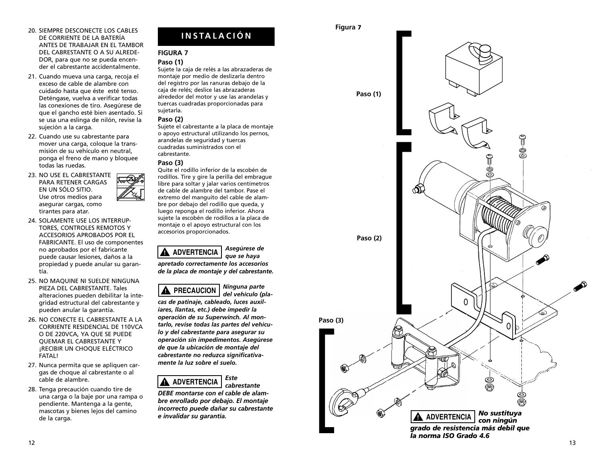#### 20. SIEMPRE DESCONECTE LOS CABLES DE CORRIENTE DE LA BATERÍA ANTES DE TRABAJAR EN EL TAMBOR DEL CABRESTANTE O A SU ALREDE-DOR, para que no se pueda encender el cabrestante accidentalmente.

- 21. Cuando mueva una carga, recoja el exceso de cable de alambre con cuidado hasta que éste esté tenso. Deténgase, vuelva a verificar todas las conexiones de tiro. Asegúrese de que el gancho esté bien asentado. Si se usa una eslinga de nilón, revise la sujeción a la carga.
- 22. Cuando use su cabrestante para mover una carga, coloque la transmisión de su vehículo en neutral, ponga el freno de mano y bloquee todas las ruedas.
- 23. NO USE EL CABRESTANTE PARA RETENER CARGAS EN UN SÓLO SITIO. Use otros medios para asegurar cargas, como tirantes para atar.
- 24. SOLAMENTE USE LOS INTERRUP-TORES, CONTROLES REMOTOS Y ACCESORIOS APROBADOS POR EL FABRICANTE. El uso de componentes no aprobados por el fabricante puede causar lesiones, daños a la propiedad y puede anular su garantía.
- 25. NO MAQUINE NI SUELDE NINGUNA PIEZA DEL CABRESTANTE. Tales alteraciones pueden debilitar la integridad estructural del cabrestante y pueden anular la garantía.
- 26. NO CONECTE EL CABRESTANTE A LA CORRIENTE RESIDENCIAL DE 110VCA O DE 220VCA, YA QUE SE PUEDE QUEMAR EL CABRESTANTE Y ¡RECIBIR UN CHOQUE ELÉCTRICO FATAL!
- 27. Nunca permita que se apliquen cargas de choque al cabrestante o al cable de alambre.
- 28. Tenga precaución cuando tire de una carga o la baje por una rampa o pendiente. Mantenga a la gente, mascotas y bienes lejos del camino de la carga.

## **INSTALACIÓN**

#### **FIGURA 7**

#### **Paso (1)**

Sujete la caja de relés a las abrazaderas de montaje por medio de deslizarla dentro del registro por las ranuras debajo de la caja de relés; deslice las abrazaderas alrededor del motor y use las arandelas y tuercas cuadradas proporcionadas para sujetarla.

#### **Paso (2)**

Sujete el cabrestante a la placa de montaje o apoyo estructural utilizando los pernos, arandelas de seguridad y tuercas cuadradas suministrados con el cabrestante.

#### **Paso (3)**

Quite el rodillo inferior de la escobén de rodillos. Tire y gire la perilla del embrague libre para soltar y jalar varios centímetros de cable de alambre del tambor. Pase el extremo del manguito del cable de alambre por debajo del rodillo que queda, y luego reponga el rodillo inferior. Ahora sujete la escobén de rodillos a la placa de montaje o el apoyo estructural con los accesorios proporcionados.







*cas de patinaje, cableado, luces auxiliares, llantas, etc.) debe impedir la operación de su Superwinch. Al montarlo, revise todas las partes del vehículo y del cabrestante para asegurar su operación sin impedimentos. Asegúrese de que la ubicación de montaje del cabrestante no reduzca significativamente la luz sobre el suelo.*

#### *Este cabrestante* **! ADVERTENCIA**

*DEBE montarse con el cable de alambre enrollado por debajo. El montaje incorrecto puede dañar su cabrestante e invalidar su garantía.*

#### **Figura <sup>7</sup>**

[

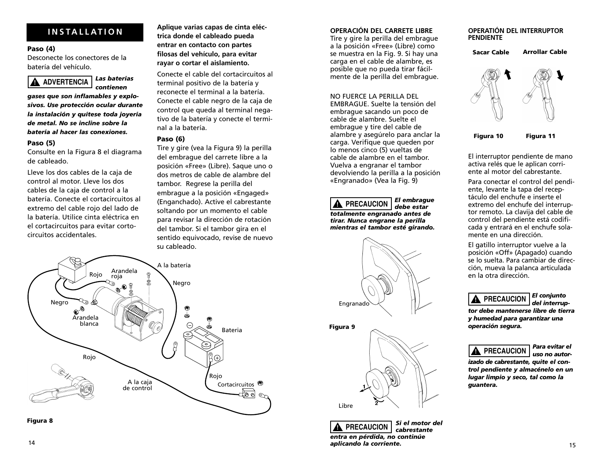#### **Paso (4)**

Desconecte los conectores de la batería del vehículo.



*gases que son inflamables y explosivos. Use protección ocular durante la instalación y quítese toda joyería de metal. No se incline sobre la batería al hacer las conexiones.*

#### **Paso (5)**

Consulte en la Figura 8 el diagrama de cableado.

Lleve los dos cables de la caja de control al motor. Lleve los dos cables de la caja de control a la batería. Conecte el cortacircuitos al extremo del cable rojo del lado de la batería. Utilice cinta eléctrica en el cortacircuitos para evitar cortocircuitos accidentales.

**Aplique varias capas de cinta eléctrica donde el cableado pueda entrar en contacto con partes filosas del vehículo, para evitar rayar o cortar el aislamiento. INSTALLATION OPERACIÓN DEL CARRETE LIBRE**

> Conecte el cable del cortacircuitos al terminal positivo de la batería y reconecte el terminal a la batería. Conecte el cable negro de la caja de control que queda al terminal negativo de la batería y conecte el terminal a la batería.

#### **Paso (6)**

Tire y gire (vea la Figura 9) la perilla del embrague del carrete libre a la posición «Free» (Libre). Saque uno o dos metros de cable de alambre del tambor. Regrese la perilla del embrague a la posición «Engaged» (Enganchado). Active el cabrestante soltando por un momento el cable para revisar la dirección de rotación del tambor. Si el tambor gira en el sentido equivocado, revise de nuevo su cableado.



**Figura 8**

Tire y gire la perilla del embrague a la posición «Free» (Libre) como se muestra en la Fig. 9. Si hay una carga en el cable de alambre, es posible que no pueda tirar fácilmente de la perilla del embrague.

### NO FUERCE LA PERILLA DEL

EMBRAGUE. Suelte la tensión del embrague sacando un poco de cable de alambre. Suelte el embrague y tire del cable de alambre y asegúrelo para anclar la carga. Verifique que queden por lo menos cinco (5) vueltas de cable de alambre en el tambor. Vuelva a engranar el tambor devolviendo la perilla a la posición «Engranado» (Vea la Fig. 9)

*El embrague debe estar totalmente engranado antes de tirar. Nunca engrane la perilla mientras el tambor esté girando.* **! PRECAUCION**







*Si el motor del cabrestante entra en pérdida, no continúe aplicando la corriente.* <sup>14</sup> <sup>15</sup> **! PRECAUCION**

#### **OPERATIÓN DEL INTERRUPTOR PENDIENTE**

**Sacar Cable Arrollar Cable**



El interruptor pendiente de mano activa relés que le aplican corriente al motor del cabrestante.

Para conectar el control del pendiente, levante la tapa del receptáculo del enchufe e inserte el extremo del enchufe del interruptor remoto. La clavija del cable de control del pendiente está codificada y entrará en el enchufe solamente en una dirección.

El gatillo interruptor vuelve a la posición «Off» (Apagado) cuando se lo suelta. Para cambiar de dirección, mueva la palanca articulada en la otra dirección.

#### *El conjunto del interrup-***! PRECAUCION**

*tor debe mantenerse libre de tierra y humedad para garantizar una operación segura.*

## **! PRECAUCION**

*Para evitar el uso no autor-*

*izado de cabrestante, quite el control pendiente y almacénelo en un lugar limpio y seco, tal como la guantera.*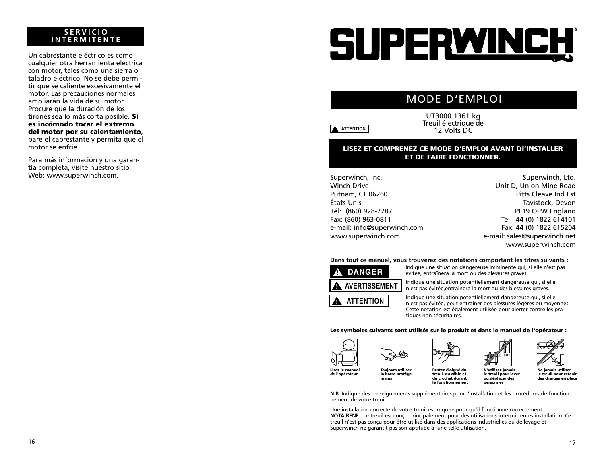#### **SERVICIO INTERMITENTE**

Un cabrestante eléctrico es como cualquier otra herramienta eléctrica con motor, tales como una sierra o taladro eléctrico. No se debe permitir que se caliente excesivamente el motor. Las precauciones normales ampliarán la vida de su motor. Procure que la duración de los tirones sea lo más corta posible. **Si es incómodo tocar el extremo del motor por su calentamiento**, pare el cabrestante y permita que el motor se enfríe.

Para más información y una garantía completa, visite nuestro sitio Web: www.superwinch.com.

# SUPERWINCH

## MODE D'EMPLOI

**A** ATTENTION

UT3000 1361 kg Treuil électrique de 12 Volts DC

#### **LISEZ ET COMPRENEZ CE MODE D'EMPLOI AVANT DI'INSTALLER ET DE FAIRE FONCTIONNER.**

Superwinch, Inc. Winch Drive Putnam, CT 06260 États-Unis Tél: (860) 928-7787 Fax: (860) 963-0811 e-mail: info@superwinch.com www.superwinch.com

Superwinch, Ltd. Unit D, Union Mine Road Pitts Cleave Ind Est Tavistock, Devon PL19 OPW England Tel: 44 (0) 1822 614101 Fax: 44 (0) 1822 615204 e-mail: sales@superwinch.net www.superwinch.com

#### **Dans tout ce manuel, vous trouverez des notations comportant les titres suivants :**



Indique une situation dangereuse imminente qui, si elle n'est pas évitée, entraînera la mort ou des blessures graves.

Indique une situation potentiellement dangereuse qui, si elle <sup>n</sup>'est pas évitée,entraînera la mort ou des blessures graves.

Indique une situation potentiellement dangereuse qui, si elle <sup>n</sup>'est pas évitée, peut entraîner des blessures légères ou moyennes. Cette notation est également utilisée pour alerter contre les pratiques non sécuritaires.

#### **Les symboles suivants sont utilisés sur le produit et dans le manuel de l'opérateur :**



**mains**







**N'utilisez jamais le treuil pour lever ou déplacer des personnes**

**Ne jamais utiliser le treuil pour retenir des charges en place**

**N.B.** Indique des renseignements supplémentaires pour l'installation et les procédures de fonctionnement de votre treuil. **le fonctionnement**

**treuil, du câble et du crochet durant** 

Une installation correcte de votre treuil est requise pour qu'il fonctionne correctement. **NOTA BENE :** Le treuil est conçu principalement pour des utilisations intermittentes installation. Ce treuil n'est pas conçu pour être utilisé dans des applications industrielles ou de levage et Superwinch ne garantit pas son aptitude à une telle utilisation.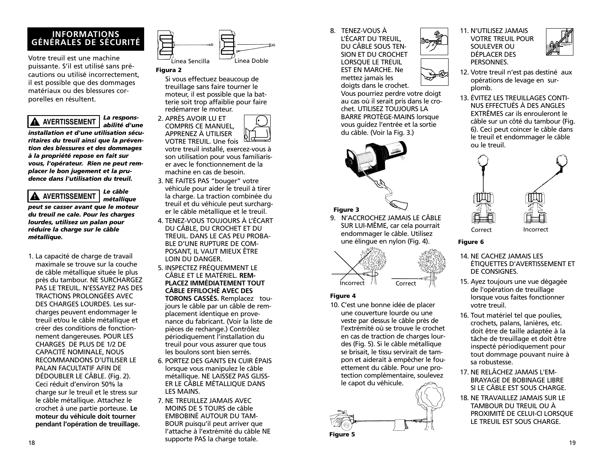## **INFORMATIONS GÉNÉRALES DE SÉCURITÉ**

Votre treuil est une machine puissante. S'il est utilisé sans précautions ou utilisé incorrectement, il est possible que des dommages matériaux ou des blessures corporelles en résultent.

*La responsabilité d'une installation et d'une utilisation sécuritaires du treuil ainsi que la prévention des blessures et des dommages à la propriété repose en fait sur vous, l'opérateur. Rien ne peut remplacer le bon jugement et la prudence dans l'utilisation du treuil.* **! AVERTISSEMENT**

*Le câble*

*métallique peut se casser avant que le moteur du treuil ne cale. Pour les charges lourdes, utilisez un palan pour réduire la charge sur le câble métallique.* **! AVERTISSEMENT**

1. La capacité de charge de travail maximale se trouve sur la couche de câble métallique située le plus près du tambour. NE SURCHARGEZ PAS LE TREUIL. N'ESSAYEZ PAS DES TRACTIONS PROLONGÉES AVEC DES CHARGES LOURDES. Les surcharges peuvent endommager le treuil et/ou le câble métallique et créer des conditions de fonctionnement dangereuses. POUR LES CHARGES DE PLUS DE 1/2 DE CAPACITÉ NOMINALE, NOUS RECOMMANDONS D'UTILISER LE PALAN FACULTATIF AFIN DE DÉDOUBLER LE CÂBLE. (Fig. 2). Ceci réduit d'environ 50% la charge sur le treuil et le stress sur le câble métallique. Attachez le crochet à une partie porteuse. **Le moteur du véhicule doit tourner pendant l'opération de treuillage.**



#### **Figura 2**

Si vous effectuez beaucoup de treuillage sans faire tourner le moteur, il est possible que la batterie soit trop affaiblie pour faire redémarrer le moteur.



votre treuil installé, exercez-vous à son utilisation pour vous familiariser avec le fonctionnement de la machine en cas de besoin.

- 3. NE FAITES PAS "bouger" votre véhicule pour aider le treuil à tirer la charge. La traction combinée du treuil et du véhicule peut surcharger le câble métallique et le treuil.
- 4. TENEZ-VOUS TOUJOURS À L'ÉCART DU CÂBLE, DU CROCHET ET DU TREUIL. DANS LE CAS PEU PROBA-BLE D'UNE RUPTURE DE COM-POSANT, IL VAUT MIEUX ÊTRE LOIN DU DANGER.
- 5. INSPECTEZ FRÉQUEMMENT LE CÂBLE ET LE MATÉRIEL. **REM-PLACEZ IMMÉDIATEMENT TOUT CÂBLE EFFILOCHÉ AVEC DES TORONS CASSÉS.** Remplacez toujours le câble par un câble de remplacement identique en provenance du fabricant. (Voir la liste de pièces de rechange.) Contrôlez périodiquement l'installation du treuil pour vous assurer que tous les boulons sont bien serrés.
- 6. PORTEZ DES GANTS EN CUIR ÉPAIS lorsque vous manipulez le câble métallique. NE LAISSEZ PAS GLISS-ER LE CÂBLE MÉTALLIQUE DANS LES MAINS.
- 7. NE TREUILLEZ JAMAIS AVEC MOINS DE 5 TOURS de câble EMBOBINÉ AUTOUR DU TAM-BOUR puisqu'il peut arriver que l'attache à l'extrémité du câble NE supporte PAS la charge totale.

8. TENEZ-VOUS À

L'ÉCART DU TREUIL, DU CÂBLE SOUS TEN-SION ET DU CROCHET LORSQUE LE TREUIL EST EN MARCHE. Ne mettez jamais les doigts dans le crochet.

Vous pourriez perdre votre doigt au cas où il serait pris dans le crochet. UTILISEZ TOUJOURS LA BARRE PROTÈGE-MAINS lorsque vous guidez l'entrée et la sortie du câble. (Voir la Fig. 3.)



#### **Figure 3**

9. N'ACCROCHEZ JAMAIS LE CÂBLE SUR LUI-MÊME, car cela pourrait endommager le câble. Utilisez une élingue en nylon (Fig. 4).



#### **Figure 4**

10. C'est une bonne idée de placer une couverture lourde ou une veste par dessus le câble près de l'extrémité où se trouve le crochet en cas de traction de charges lourdes (Fig. 5). Si le câble métallique se brisait, le tissu servirait de tampon et aiderait à empêcher le fouettement du câble. Pour une protection complémentaire, soulevez le capot du véhicule.







- 12. Votre treuil n'est pas destiné aux opérations de levage en surplomb.
- 13. ÉVITEZ LES TREUILLAGES CONTI-NUS EFFECTUÉS À DES ANGLES EXTRÊMES car ils enrouleront le câble sur un côté du tambour (Fig. 6). Ceci peut coincer le câble dans le treuil et endommager le câble ou le treuil.



#### **Figure 6**

- 14. NE CACHEZ JAMAIS LES ÉTIQUETTES D'AVERTISSEMENT ET DE CONSIGNES.
- 15. Ayez toujours une vue dégagée de l'opération de treuillage lorsque vous faites fonctionner votre treuil.
- 16. Tout matériel tel que poulies, crochets, palans, lanières, etc. doit être de taille adaptée à la tâche de treuillage et doit être inspecté périodiquement pour tout dommage pouvant nuire à sa robustesse.
- 17. NE RELÂCHEZ JAMAIS L'EM-BRAYAGE DE BOBINAGE LIBRE SI LE CÂBLE EST SOUS CHARGE.
- 18. NE TRAVAILLEZ JAMAIS SUR LE TAMBOUR DU TREUIL OU À PROXIMITÉ DE CELUI-CI LORSQUE LE TREUIL EST SOUS CHARGE.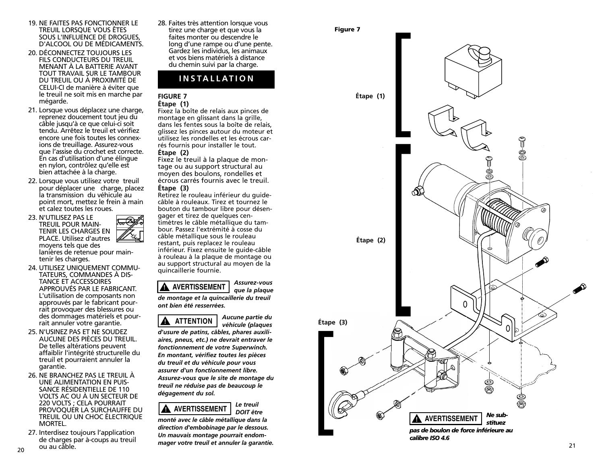- 19. NE FAITES PAS FONCTIONNER LE TREUIL LORSQUE VOUS ÊTES<br>SOUS L'INFLUENCE DE DROGUES. D'ALCOOL OU DE MÉDICAMENTS.
- 20. DÉCONNECTEZ TOUJOURS LES FILS CONDUCTEURS DU TREUIL MENANT À LA BATTERIE AVANT TOUT TRAVAIL SUR LE TAMBOUR DU TREUIL OU À PROXIMITÉ DE CELUI-CI de manière à éviter que le treuil ne soit mis en marche par mégarde.
- 21. Lorsque vous déplacez une charge, reprenez doucement tout jeu du câble jusqu'à ce que celui-ci soit tendu. Arrêtez le treuil et vérifiez encore une fois toutes les connexions de treuillage. Assurez-vous que l'assise du crochet est correcte. En cas d'utilisation d'une élingue en nylon, contrôlez qu'elle est bien attachée à la charge.
- 22. Lorsque vous utilisez votre treuil pour déplacer une charge, placez la transmission du véhicule au point mort, mettez le frein à main et calez toutes les roues.
- 23. N'UTILISEZ PAS LE TREUIL POUR MAIN-TENIR LES CHARGES EN PLACE. Utilisez d'autres moyens tels que des lanières de retenue pour maintenir les charges.
- 24. UTILISEZ UNIQUEMENT COMMU- TATEURS, COMMANDES À DIS-TANCE ET ACCESSOIRES APPROUVÉS PAR LE FABRICANT. L'utilisation de composants non approuvés par le fabricant pourrait provoquer des blessures ou des dommages matériels et pourrait annuler votre garantie.
- 25. N'USINEZ PAS ET NE SOUDEZ AUCUNE DES PIÈCES DU TREUIL. De telles altérations peuvent affaiblir l'intégrité structurelle du treuil et pourraient annuler la garantie.
- 26. NE BRANCHEZ PAS LE TREUIL À UNE ALIMENTATION EN PUIS-SANCE RÉSIDENTIELLE DE 110 VOLTS AC OU À UN SECTEUR DE 220 VOLTS ; CELA POURRAIT TREUIL OU UN CHOC ÉLECTRIQUE MORTEL.
- 20 ou au câble. Communisment and a communisment and a series of the communisment of the communisment of the communisment of  $21$ 27. Interdisez toujours l'application de charges par à-coups au treuil ou au câble.

28. Faites très attention lorsque vous tirez une charge et que vous la faites monter ou descendre le long d'une rampe ou d'une pente. Gardez les individus, les animaux et vos biens matériels à distance du chemin suivi par la charge.

## **INSTALLATION**

#### **FIGURE 7 Étape (1)**

Fixez la boîte de relais aux pinces de montage en glissant dans la grille. dans les fentes sous la boîte de relais, glissez les pinces autour du moteur et utilisez les rondelles et les écrous carrés fournis pour installer le tout.

#### **Étape (2)**

Fixez le treuil à la plaque de montage ou au support structural au moyen des boulons, rondelles et écrous carrés fournis avec le treuil. **Étape (3)**

Retirez le rouleau inférieur du guidecâble à rouleaux. Tirez et tournez le bouton du tambour libre pour désengager et tirez de quelques centimètres le câble métallique du tambour. Passez l'extrémité à cosse du câble métallique sous le rouleau restant, puis replacez le rouleau inférieur. Fixez ensuite le guide-câble à rouleau à la plaque de montage ou au support structural au moyen de la quincaillerie fournie.

*Assurez-vous que la plaque de montage et la quincaillerie du treuil ont bien été resserrées.* **! AVERTISSEMENT**



*Aucune partie du véhicule (plaques*

*d'usure de patins, câbles, phares auxiliaires, pneus, etc.) ne devrait entraver le fonctionnement de votre Superwinch. En montant, vérifiez toutes les pièces du treuil et du véhicule pour vous assurer d'un fonctionnement libre. Assurez-vous que le site de montage du treuil ne réduise pas de beaucoup le dégagement du sol.*



*monté avec le câble métallique dans la direction d'embobinage par le dessous. Un mauvais montage pourrait endommager votre treuil et annuler la garantie.*